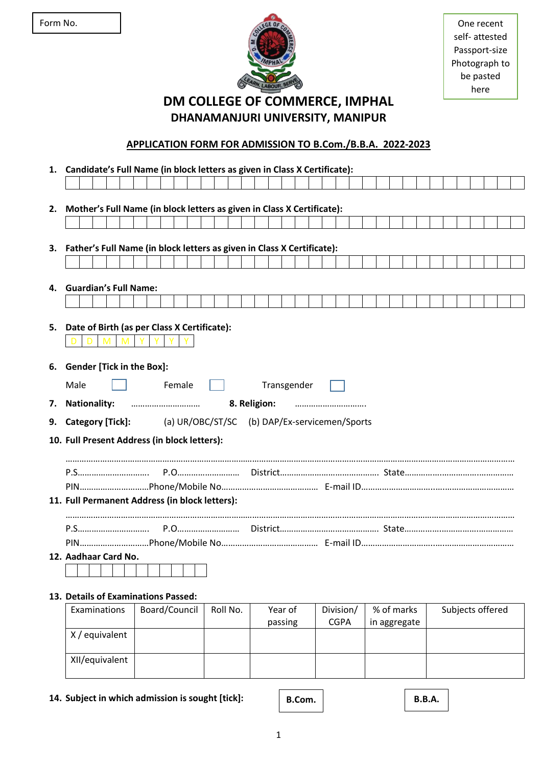

self- attested Passport-size Photograph to be pasted here

**DM COLLEGE OF COMMERCE, IMPHAL DHANAMANJURI UNIVERSITY, MANIPUR**

## **APPLICATION FORM FOR ADMISSION TO B.Com./B.B.A. 2022-2023**

**1. Candidate's Full Name (in block letters as given in Class X Certificate): 2. Mother's Full Name (in block letters as given in Class X Certificate): 3. Father's Full Name (in block letters as given in Class X Certificate): 4. Guardian's Full Name: 5. Date of Birth (as per Class X Certificate):** D D M M Y Y Y Y **6. Gender [Tick in the Box]:** Male | | Female | | Transgender **7. Nationality:** ………………………… **8. Religion:** …………………………. **9. Category [Tick]:** (a) UR/OBC/ST/SC (b) DAP/Ex-servicemen/Sports **10. Full Present Address (in block letters):** …………………………………………………………………………………………………………………………………………………………………………… P.S…………………………. P.O……………………… District……………………………………. State…………….…………….…………… PIN…………………………Phone/Mobile No…………………………………… E-mail ID…………………………..….………………………… **11. Full Permanent Address (in block letters):** …………………………………………………………………………………………………………………………………………………………………………… P.S…………………………. P.O……………………… District……………………………………. State…………….…………….…………… PIN…………………………Phone/Mobile No…………………………………… E-mail ID…………………………..….………………………… **12. Aadhaar Card No.**

# **13. Details of Examinations Passed:**

| Examinations   | Board/Council | Roll No. | Year of | Division/   | % of marks   | Subjects offered |
|----------------|---------------|----------|---------|-------------|--------------|------------------|
|                |               |          | passing | <b>CGPA</b> | in aggregate |                  |
| X/equivalent   |               |          |         |             |              |                  |
|                |               |          |         |             |              |                  |
| XII/equivalent |               |          |         |             |              |                  |
|                |               |          |         |             |              |                  |

**14. Subject in which admission is sought [tick]:**

**B.Com. B.B.A.**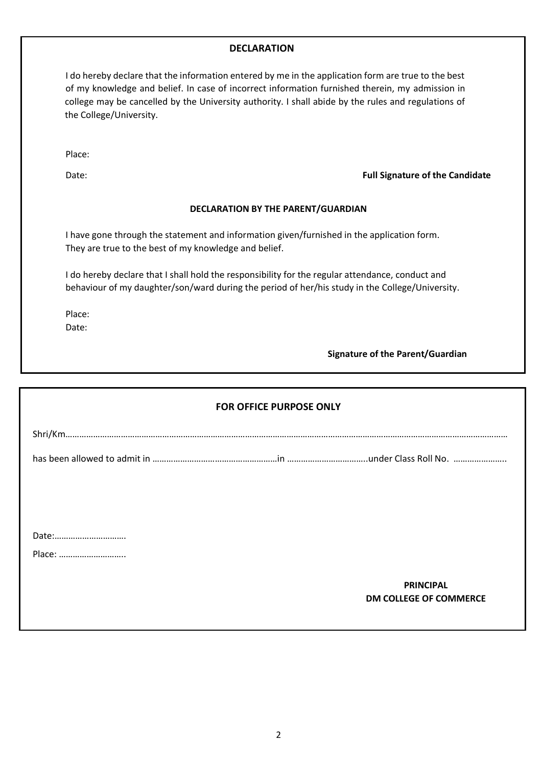## **DECLARATION**

I do hereby declare that the information entered by me in the application form are true to the best of my knowledge and belief. In case of incorrect information furnished therein, my admission in college may be cancelled by the University authority. I shall abide by the rules and regulations of the College/University.

Place:

### Date: **Full Signature of the Candidate**

### **DECLARATION BY THE PARENT/GUARDIAN**

I have gone through the statement and information given/furnished in the application form. They are true to the best of my knowledge and belief.

I do hereby declare that I shall hold the responsibility for the regular attendance, conduct and behaviour of my daughter/son/ward during the period of her/his study in the College/University.

Place:

Date:

**Signature of the Parent/Guardian**

| <b>FOR OFFICE PURPOSE ONLY</b> |  |                               |  |  |  |  |  |  |
|--------------------------------|--|-------------------------------|--|--|--|--|--|--|
|                                |  |                               |  |  |  |  |  |  |
|                                |  |                               |  |  |  |  |  |  |
|                                |  |                               |  |  |  |  |  |  |
|                                |  |                               |  |  |  |  |  |  |
| Date:                          |  |                               |  |  |  |  |  |  |
| Place:                         |  |                               |  |  |  |  |  |  |
|                                |  | <b>PRINCIPAL</b>              |  |  |  |  |  |  |
|                                |  | <b>DM COLLEGE OF COMMERCE</b> |  |  |  |  |  |  |
|                                |  |                               |  |  |  |  |  |  |